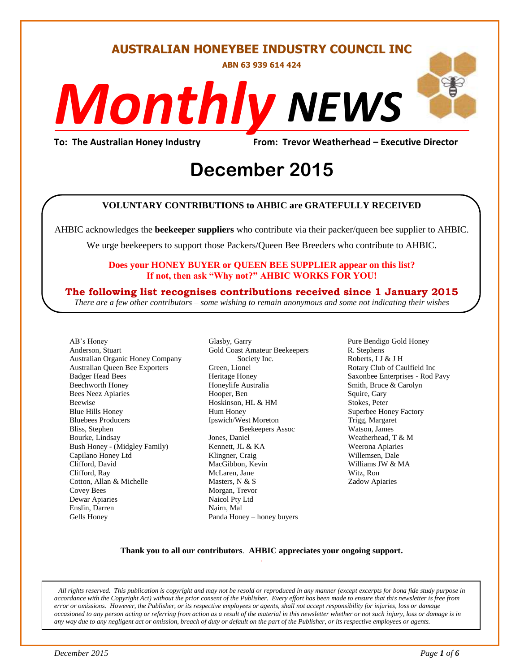#### **AUSTRALIAN HONEYBEE INDUSTRY COUNCIL INC**

**ABN 63 939 614 424**

# *NEWS Monthly*

**To: The Australian Honey Industry From: Trevor Weatherhead – Executive Director**

## Erom: Trevor Weathe<br>
December 2015

#### **VOLUNTARY CONTRIBUTIONS to AHBIC are GRATEFULLY RECEIVED**

AHBIC acknowledges the **beekeeper suppliers** who contribute via their packer/queen bee supplier to AHBIC.

We urge beekeepers to support those Packers/Queen Bee Breeders who contribute to AHBIC.

#### **Does your HONEY BUYER or QUEEN BEE SUPPLIER appear on this list? If not, then ask "Why not?" AHBIC WORKS FOR YOU!**

#### **The following list recognises contributions received since 1 January 2015**

*There are a few other contributors – some wishing to remain anonymous and some not indicating their wishes*

AB's Honey Anderson, Stuart Australian Organic Honey Company Australian Queen Bee Exporters Badger Head Bees Beechworth Honey Bees Neez Apiaries Beewise Blue Hills Honey Bluebees Producers Bliss, Stephen Bourke, Lindsay Bush Honey - (Midgley Family) Capilano Honey Ltd Clifford, David Clifford, Ray Cotton, Allan & Michelle Covey Bees Dewar Apiaries Enslin, Darren Gells Honey

Glasby, Garry Gold Coast Amateur Beekeepers Society Inc. Green, Lionel Heritage Honey Honeylife Australia Hooper, Ben Hoskinson, HL & HM Hum Honey Ipswich/West Moreton Beekeepers Assoc Jones, Daniel Kennett, JL & KA Klingner, Craig MacGibbon, Kevin McLaren, Jane Masters, N & S Morgan, Trevor Naicol Pty Ltd Nairn, Mal Panda Honey – honey buyers

Pure Bendigo Gold Honey R. Stephens Roberts, I J & J H Rotary Club of Caulfield Inc Saxonbee Enterprises - Rod Pavy Smith, Bruce & Carolyn Squire, Gary Stokes, Peter Superbee Honey Factory Trigg, Margaret Watson, James Weatherhead, T & M Weerona Apiaries Willemsen, Dale Williams JW & MA Witz, Ron Zadow Apiaries

#### **Thank you to all our contributors***.* **AHBIC appreciates your ongoing support.** .

*All rights reserved. This publication is copyright and may not be resold or reproduced in any manner (except excerpts for bona fide study purpose in accordance with the Copyright Act) without the prior consent of the Publisher. Every effort has been made to ensure that this newsletter is free from error or omissions. However, the Publisher, or its respective employees or agents, shall not accept responsibility for injuries, loss or damage occasioned to any person acting or referring from action as a result of the material in this newsletter whether or not such injury, loss or damage is in any way due to any negligent act or omission, breach of duty or default on the part of the Publisher, or its respective employees or agents.*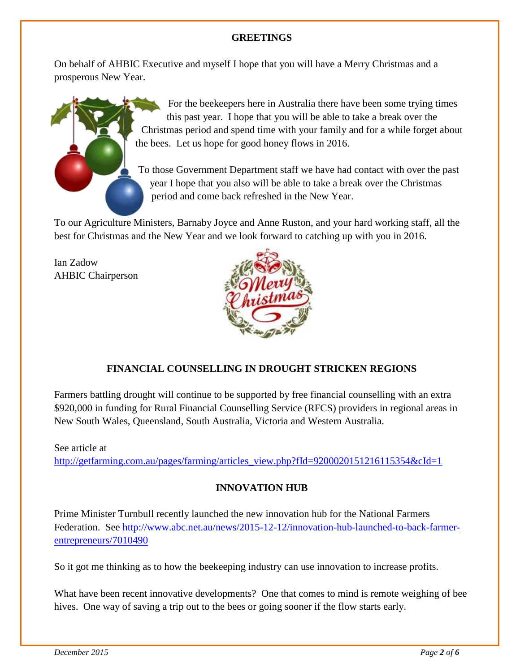#### **GREETINGS**

On behalf of AHBIC Executive and myself I hope that you will have a Merry Christmas and a prosperous New Year.



For the beekeepers here in Australia there have been some trying times this past year. I hope that you will be able to take a break over the Christmas period and spend time with your family and for a while forget about the bees. Let us hope for good honey flows in 2016.

To those Government Department staff we have had contact with over the past year I hope that you also will be able to take a break over the Christmas period and come back refreshed in the New Year.

To our Agriculture Ministers, Barnaby Joyce and Anne Ruston, and your hard working staff, all the best for Christmas and the New Year and we look forward to catching up with you in 2016.

Ian Zadow AHBIC Chairperson



#### **FINANCIAL COUNSELLING IN DROUGHT STRICKEN REGIONS**

Farmers battling drought will continue to be supported by free financial counselling with an extra \$920,000 in funding for Rural Financial Counselling Service (RFCS) providers in regional areas in New South Wales, Queensland, South Australia, Victoria and Western Australia.

#### See article at [http://getfarming.com.au/pages/farming/articles\\_view.php?fId=9200020151216115354&cId=1](http://getfarming.com.au/pages/farming/articles_view.php?fId=9200020151216115354&cId=1)

#### **INNOVATION HUB**

Prime Minister Turnbull recently launched the new innovation hub for the National Farmers Federation. See [http://www.abc.net.au/news/2015-12-12/innovation-hub-launched-to-back-farmer](http://www.abc.net.au/news/2015-12-12/innovation-hub-launched-to-back-farmer-entrepreneurs/7010490)[entrepreneurs/7010490](http://www.abc.net.au/news/2015-12-12/innovation-hub-launched-to-back-farmer-entrepreneurs/7010490)

So it got me thinking as to how the beekeeping industry can use innovation to increase profits.

What have been recent innovative developments? One that comes to mind is remote weighing of bee hives. One way of saving a trip out to the bees or going sooner if the flow starts early.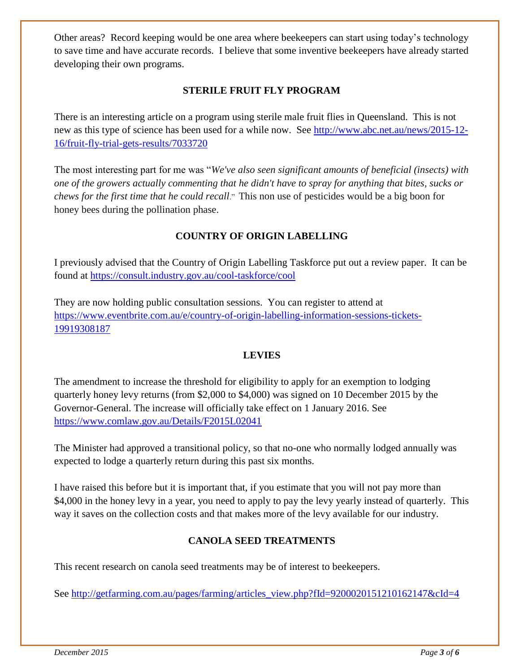Other areas? Record keeping would be one area where beekeepers can start using today's technology to save time and have accurate records. I believe that some inventive beekeepers have already started developing their own programs.

#### **STERILE FRUIT FLY PROGRAM**

There is an interesting article on a program using sterile male fruit flies in Queensland. This is not new as this type of science has been used for a while now. See [http://www.abc.net.au/news/2015-12-](http://www.abc.net.au/news/2015-12-16/fruit-fly-trial-gets-results/7033720) [16/fruit-fly-trial-gets-results/7033720](http://www.abc.net.au/news/2015-12-16/fruit-fly-trial-gets-results/7033720)

The most interesting part for me was "*We've also seen significant amounts of beneficial (insects) with one of the growers actually commenting that he didn't have to spray for anything that bites, sucks or chews for the first time that he could recall*." This non use of pesticides would be a big boon for honey bees during the pollination phase.

#### **COUNTRY OF ORIGIN LABELLING**

I previously advised that the Country of Origin Labelling Taskforce put out a review paper. It can be found at<https://consult.industry.gov.au/cool-taskforce/cool>

They are now holding public consultation sessions. You can register to attend at [https://www.eventbrite.com.au/e/country-of-origin-labelling-information-sessions-tickets-](https://www.eventbrite.com.au/e/country-of-origin-labelling-information-sessions-tickets-19919308187)[19919308187](https://www.eventbrite.com.au/e/country-of-origin-labelling-information-sessions-tickets-19919308187)

#### **LEVIES**

The amendment to increase the threshold for eligibility to apply for an exemption to lodging quarterly honey levy returns (from \$2,000 to \$4,000) was signed on 10 December 2015 by the Governor-General. The increase will officially take effect on 1 January 2016. See <https://www.comlaw.gov.au/Details/F2015L02041>

The Minister had approved a transitional policy, so that no-one who normally lodged annually was expected to lodge a quarterly return during this past six months.

I have raised this before but it is important that, if you estimate that you will not pay more than \$4,000 in the honey levy in a year, you need to apply to pay the levy yearly instead of quarterly. This way it saves on the collection costs and that makes more of the levy available for our industry.

#### **CANOLA SEED TREATMENTS**

This recent research on canola seed treatments may be of interest to beekeepers.

See [http://getfarming.com.au/pages/farming/articles\\_view.php?fId=9200020151210162147&cId=4](http://getfarming.com.au/pages/farming/articles_view.php?fId=9200020151210162147&cId=4)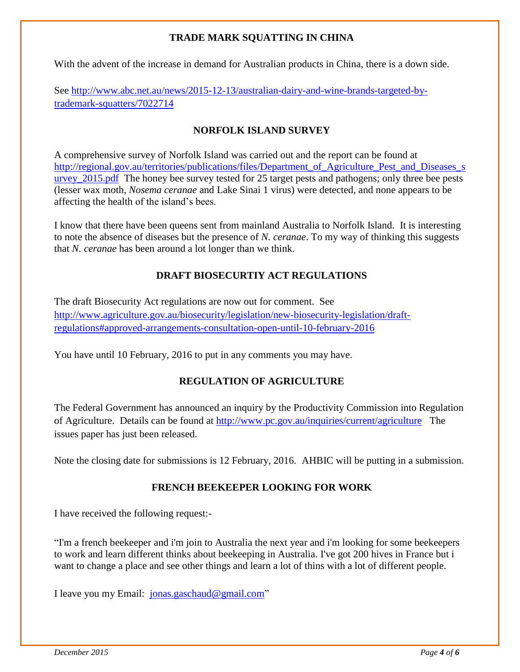#### **TRADE MARK SQUATTING IN CHINA**

With the advent of the increase in demand for Australian products in China, there is a down side.

See [http://www.abc.net.au/news/2015-12-13/australian-dairy-and-wine-brands-targeted-by](http://www.abc.net.au/news/2015-12-13/australian-dairy-and-wine-brands-targeted-by-trademark-squatters/7022714)[trademark-squatters/7022714](http://www.abc.net.au/news/2015-12-13/australian-dairy-and-wine-brands-targeted-by-trademark-squatters/7022714)

#### **NORFOLK ISLAND SURVEY**

A comprehensive survey of Norfolk Island was carried out and the report can be found at http://regional.gov.au/territories/publications/files/Department of Agriculture Pest and Diseases s [urvey\\_2015.pdf](http://regional.gov.au/territories/publications/files/Department_of_Agriculture_Pest_and_Diseases_survey_2015.pdf) The honey bee survey tested for 25 target pests and pathogens; only three bee pests (lesser wax moth, *Nosema ceranae* and Lake Sinai 1 virus) were detected, and none appears to be affecting the health of the island's bees.

I know that there have been queens sent from mainland Australia to Norfolk Island. It is interesting to note the absence of diseases but the presence of *N. ceranae*. To my way of thinking this suggests that *N. ceranae* has been around a lot longer than we think.

#### **DRAFT BIOSECURTIY ACT REGULATIONS**

The draft Biosecurity Act regulations are now out for comment. See [http://www.agriculture.gov.au/biosecurity/legislation/new-biosecurity-legislation/draft](http://www.agriculture.gov.au/biosecurity/legislation/new-biosecurity-legislation/draft-regulations#approved-arrangements-consultation-open-until-10-february-2016)[regulations#approved-arrangements-consultation-open-until-10-february-2016](http://www.agriculture.gov.au/biosecurity/legislation/new-biosecurity-legislation/draft-regulations#approved-arrangements-consultation-open-until-10-february-2016)

You have until 10 February, 2016 to put in any comments you may have.

#### **REGULATION OF AGRICULTURE**

The Federal Government has announced an inquiry by the Productivity Commission into Regulation of Agriculture. Details can be found at<http://www.pc.gov.au/inquiries/current/agriculture> The issues paper has just been released.

Note the closing date for submissions is 12 February, 2016. AHBIC will be putting in a submission.

#### **FRENCH BEEKEEPER LOOKING FOR WORK**

I have received the following request:-

"I'm a french beekeeper and i'm join to Australia the next year and i'm looking for some beekeepers to work and learn different thinks about beekeeping in Australia. I've got 200 hives in France but i want to change a place and see other things and learn a lot of thins with a lot of different people.

I leave you my Email: [jonas.gaschaud@gmail.com"](mailto:jonas.gaschaud@gmail.com)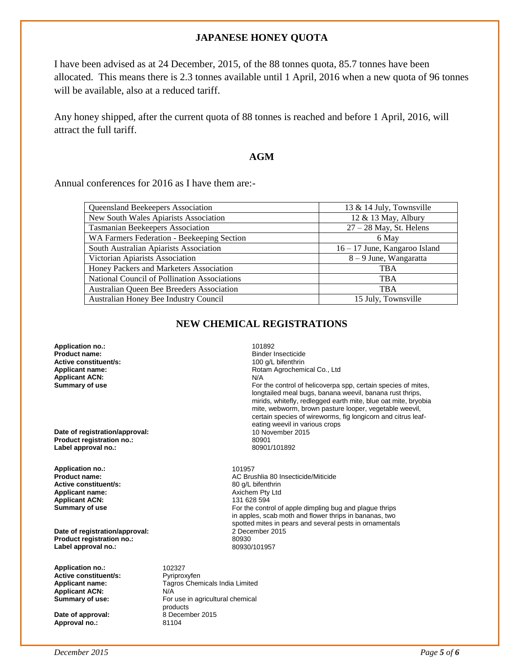#### **JAPANESE HONEY QUOTA**

I have been advised as at 24 December, 2015, of the 88 tonnes quota, 85.7 tonnes have been allocated. This means there is 2.3 tonnes available until 1 April, 2016 when a new quota of 96 tonnes will be available, also at a reduced tariff.

Any honey shipped, after the current quota of 88 tonnes is reached and before 1 April, 2016, will attract the full tariff.

#### **AGM**

Annual conferences for 2016 as I have them are:-

| Queensland Beekeepers Association            | 13 & 14 July, Townsville        |  |
|----------------------------------------------|---------------------------------|--|
| New South Wales Apiarists Association        | 12 & 13 May, Albury             |  |
| Tasmanian Beekeepers Association             | $27 - 28$ May, St. Helens       |  |
| WA Farmers Federation - Beekeeping Section   | 6 May                           |  |
| South Australian Apiarists Association       | $16 - 17$ June, Kangaroo Island |  |
| Victorian Apiarists Association              | $8 - 9$ June, Wangaratta        |  |
| Honey Packers and Marketers Association      | <b>TBA</b>                      |  |
| National Council of Pollination Associations | <b>TBA</b>                      |  |
| Australian Queen Bee Breeders Association    | <b>TBA</b>                      |  |
| Australian Honey Bee Industry Council        | 15 July, Townsville             |  |

#### **NEW CHEMICAL REGISTRATIONS**

**Application no.:** 101892 **Product name: Product name: Binder Insecticide**<br> **Active constituent/s: Binder Insection Active constituent/s:** 100 g/L bifenthrin **Active constituent/s:** <br> **100 g/L bifenthrin**<br> **Applicant name:** <br> **100 g/L bifenthrin Applicant ACN:** N/A<br> **Summary of use** the contract of the contract of the contract of the contract of the contract of the contract of the contract of the contract of the contract of the contract of the contract of the con

**Date of registration/approval:** 10 November 2016<br> **Product registration no :** 20001 **Product registration no.:** 80901 **Label approval no.:** 

**Application no.:** 101957 **Active constituent/s:** 80 g/L bifenthrin<br> **Applicant name:** Axichem Pty Ltd **Applicant name:**  $\begin{array}{ccc}\n\bullet & \bullet & \bullet & \bullet \\
\bullet & \bullet & \bullet & \bullet & \bullet \\
\bullet & \bullet & \bullet & \bullet & \bullet \\
\bullet & \bullet & \bullet & \bullet & \bullet \\
\bullet & \bullet & \bullet & \bullet & \bullet & \bullet \\
\bullet & \bullet & \bullet & \bullet & \bullet & \bullet \\
\bullet & \bullet & \bullet & \bullet & \bullet & \bullet & \bullet\n\end{array}$ **Applicant ACN:** 

**Date of registration/approval: Product registration no.:** 80930 **Label approval no.:** 

**Application no.:** 102327<br> **Active constituent/s:** Pyriproxyfen **Active constituent/s:**<br>**Applicant name: Applicant ACN:** N/A<br> **Summary of use:** For

**Date of approval: Approval no.:** 81104 **Applicant name:** Rotam Agrochemical Co., Ltd For the control of helicoverpa spp, certain species of mites, longtailed meal bugs, banana weevil, banana rust thrips, mirids, whitefly, redlegged earth mite, blue oat mite, bryobia mite, webworm, brown pasture looper, vegetable weevil, certain species of wireworms, fig longicorn and citrus leafeating weevil in various crops<br>10 November 2015

**Product name:**<br> **AC Brushlia 80 Insecticide/Miticide**<br> **Active constituent/s:**<br> **AC Brushlia 80 Insecticide/Miticide**<br> **AC Brushlia 80 Insecticide/Miticide Summary of use For the control of apple dimpling bug and plague thrips For the control of apple dimpling bug and plague thrips** in apples, scab moth and flower thrips in bananas, two spotted mites in pears and several pests in ornamentals 2 December 2015

> **Applicant name:** Tagros Chemicals India Limited For use in agricultural chemical products<br>8 December 2015